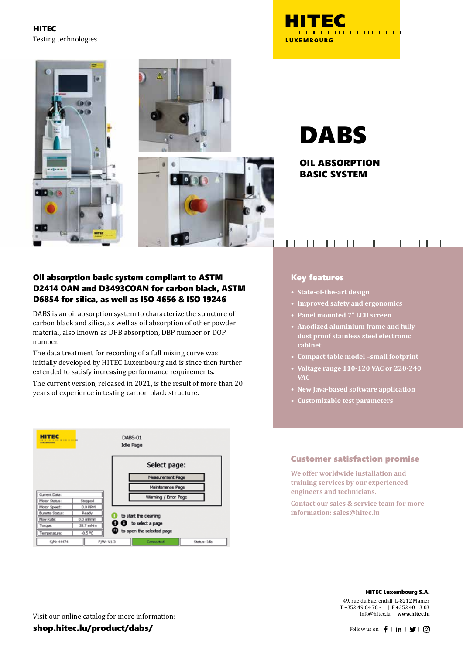HITEC Testing technologies

 $6010$ 

A

**OD** O





OIL ABSORPTION BASIC SYSTEM

#### Oil absorption basic system compliant to ASTM D2414 OAN and D3493COAN for carbon black, ASTM D6854 for silica, as well as ISO 4656 & ISO 19246

DABS is an oil absorption system to characterize the structure of carbon black and silica, as well as oil absorption of other powder material, also known as DPB absorption, DBP number or DOP number.

The data treatment for recording of a full mixing curve was initially developed by HITEC Luxembourg and is since then further extended to satisfy increasing performance requirements.

The current version, released in 2021, is the result of more than 20 years of experience in testing carbon black structure.



# 

#### Key features

- **• State-of-the-art design**
- **• Improved safety and ergonomics**
- **• Panel mounted 7" LCD screen**
- **• Anodized aluminium frame and fully dust proof stainless steel electronic cabinet**
- **• Compact table model –small footprint**
- **• Voltage range 110-120 VAC or 220-240 VAC**
- **• New Java-based software application**
- **• Customizable test parameters**

#### Customer satisfaction promise

**We offer worldwide installation and training services by our experienced engineers and technicians.**

**Contact our sales & service team for more information: sales@hitec.lu**

#### HITEC Luxembourg S.A.

49, rue du Baerendall L-8212 Mamer **T** +352 49 84 78 - 1 | **F** +352 40 13 03 info@hitec.lu | **www.hitec.lu**

Visit our online catalog for more information:

shop.hitec.lu/product/dabs/